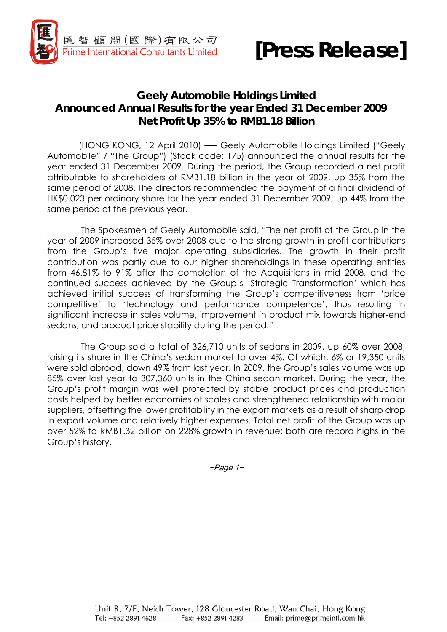



## **Geely Automobile Holdings Limited Announced Annual Results for the year Ended 31 December 2009 Net Profit Up 35% to RMB1.18 Billion**

 (HONG KONG, 12 April 2010) ── Geely Automobile Holdings Limited ("Geely Automobile" / "The Group") (Stock code: 175) announced the annual results for the year ended 31 December 2009. During the period, the Group recorded a net profit attributable to shareholders of RMB1.18 billion in the year of 2009, up 35% from the same period of 2008. The directors recommended the payment of a final dividend of HK\$0.023 per ordinary share for the year ended 31 December 2009, up 44% from the same period of the previous year.

The Spokesmen of Geely Automobile said, "The net profit of the Group in the year of 2009 increased 35% over 2008 due to the strong growth in profit contributions from the Group's five major operating subsidiaries. The growth in their profit contribution was partly due to our higher shareholdings in these operating entities from 46.81% to 91% after the completion of the Acquisitions in mid 2008, and the continued success achieved by the Group's 'Strategic Transformation' which has achieved initial success of transforming the Group's competitiveness from 'price competitive' to 'technology and performance competence', thus resulting in significant increase in sales volume, improvement in product mix towards higher-end sedans, and product price stability during the period."

The Group sold a total of 326,710 units of sedans in 2009, up 60% over 2008, raising its share in the China's sedan market to over 4%. Of which, 6% or 19,350 units were sold abroad, down 49% from last year. In 2009, the Group's sales volume was up 85% over last year to 307,360 units in the China sedan market. During the year, the Group's profit margin was well protected by stable product prices and production costs helped by better economies of scales and strengthened relationship with major suppliers, offsetting the lower profitability in the export markets as a result of sharp drop in export volume and relatively higher expenses. Total net profit of the Group was up over 52% to RMB1.32 billion on 228% growth in revenue; both are record highs in the Group's history.

 $\neg$ Page 1 $\sim$